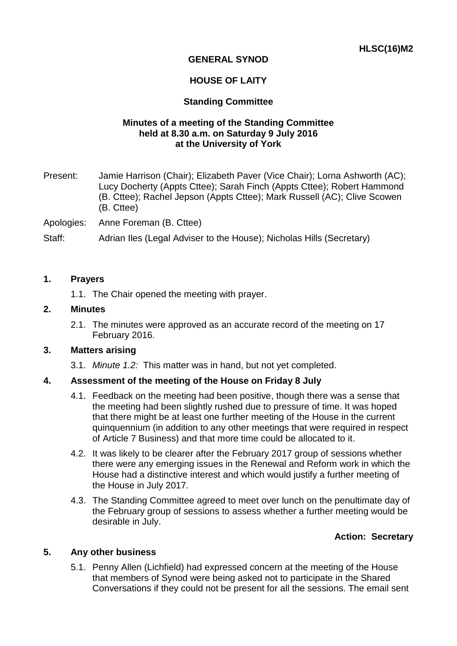# **GENERAL SYNOD**

# **HOUSE OF LAITY**

## **Standing Committee**

## **Minutes of a meeting of the Standing Committee held at 8.30 a.m. on Saturday 9 July 2016 at the University of York**

Present: Jamie Harrison (Chair); Elizabeth Paver (Vice Chair); Lorna Ashworth (AC); Lucy Docherty (Appts Cttee); Sarah Finch (Appts Cttee); Robert Hammond (B. Cttee); Rachel Jepson (Appts Cttee); Mark Russell (AC); Clive Scowen (B. Cttee)

Apologies: Anne Foreman (B. Cttee)

Staff: Adrian Iles (Legal Adviser to the House); Nicholas Hills (Secretary)

#### **1. Prayers**

1.1. The Chair opened the meeting with prayer.

#### **2. Minutes**

2.1. The minutes were approved as an accurate record of the meeting on 17 February 2016.

#### **3. Matters arising**

3.1. *Minute 1.2:* This matter was in hand, but not yet completed.

## **4. Assessment of the meeting of the House on Friday 8 July**

- 4.1. Feedback on the meeting had been positive, though there was a sense that the meeting had been slightly rushed due to pressure of time. It was hoped that there might be at least one further meeting of the House in the current quinquennium (in addition to any other meetings that were required in respect of Article 7 Business) and that more time could be allocated to it.
- 4.2. It was likely to be clearer after the February 2017 group of sessions whether there were any emerging issues in the Renewal and Reform work in which the House had a distinctive interest and which would justify a further meeting of the House in July 2017.
- 4.3. The Standing Committee agreed to meet over lunch on the penultimate day of the February group of sessions to assess whether a further meeting would be desirable in July.

## **Action: Secretary**

## **5. Any other business**

5.1. Penny Allen (Lichfield) had expressed concern at the meeting of the House that members of Synod were being asked not to participate in the Shared Conversations if they could not be present for all the sessions. The email sent